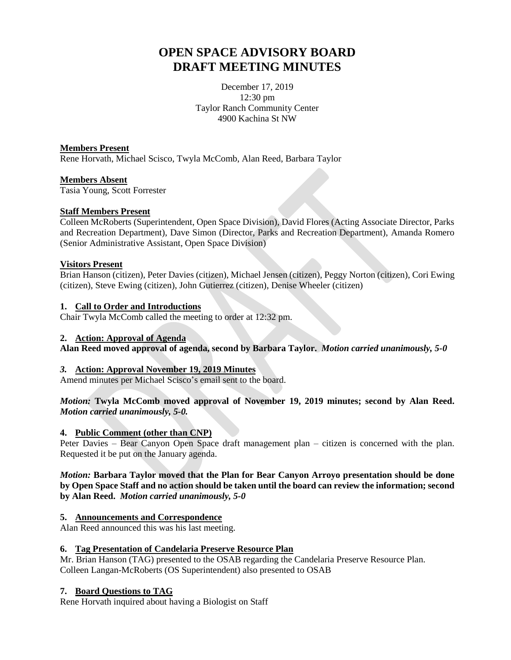# **OPEN SPACE ADVISORY BOARD DRAFT MEETING MINUTES**

December 17, 2019 12:30 pm Taylor Ranch Community Center 4900 Kachina St NW

## **Members Present**

Rene Horvath, Michael Scisco, Twyla McComb, Alan Reed, Barbara Taylor

#### **Members Absent**

Tasia Young, Scott Forrester

## **Staff Members Present**

Colleen McRoberts (Superintendent, Open Space Division), David Flores (Acting Associate Director, Parks and Recreation Department), Dave Simon (Director, Parks and Recreation Department), Amanda Romero (Senior Administrative Assistant, Open Space Division)

## **Visitors Present**

Brian Hanson (citizen), Peter Davies (citizen), Michael Jensen (citizen), Peggy Norton (citizen), Cori Ewing (citizen), Steve Ewing (citizen), John Gutierrez (citizen), Denise Wheeler (citizen)

## **1. Call to Order and Introductions**

Chair Twyla McComb called the meeting to order at 12:32 pm.

#### **2. Action: Approval of Agenda**

**Alan Reed moved approval of agenda, second by Barbara Taylor.** *Motion carried unanimously, 5-0*

# *3.* **Action: Approval November 19, 2019 Minutes**

Amend minutes per Michael Scisco's email sent to the board.

## *Motion:* **Twyla McComb moved approval of November 19, 2019 minutes; second by Alan Reed.**  *Motion carried unanimously, 5-0.*

#### **4. Public Comment (other than CNP)**

Peter Davies – Bear Canyon Open Space draft management plan – citizen is concerned with the plan. Requested it be put on the January agenda.

### *Motion:* **Barbara Taylor moved that the Plan for Bear Canyon Arroyo presentation should be done by Open Space Staff and no action should be taken until the board can review the information; second by Alan Reed.** *Motion carried unanimously, 5-0*

# **5. Announcements and Correspondence**

Alan Reed announced this was his last meeting.

# **6. Tag Presentation of Candelaria Preserve Resource Plan**

Mr. Brian Hanson (TAG) presented to the OSAB regarding the Candelaria Preserve Resource Plan. Colleen Langan-McRoberts (OS Superintendent) also presented to OSAB

# **7. Board Questions to TAG**

Rene Horvath inquired about having a Biologist on Staff